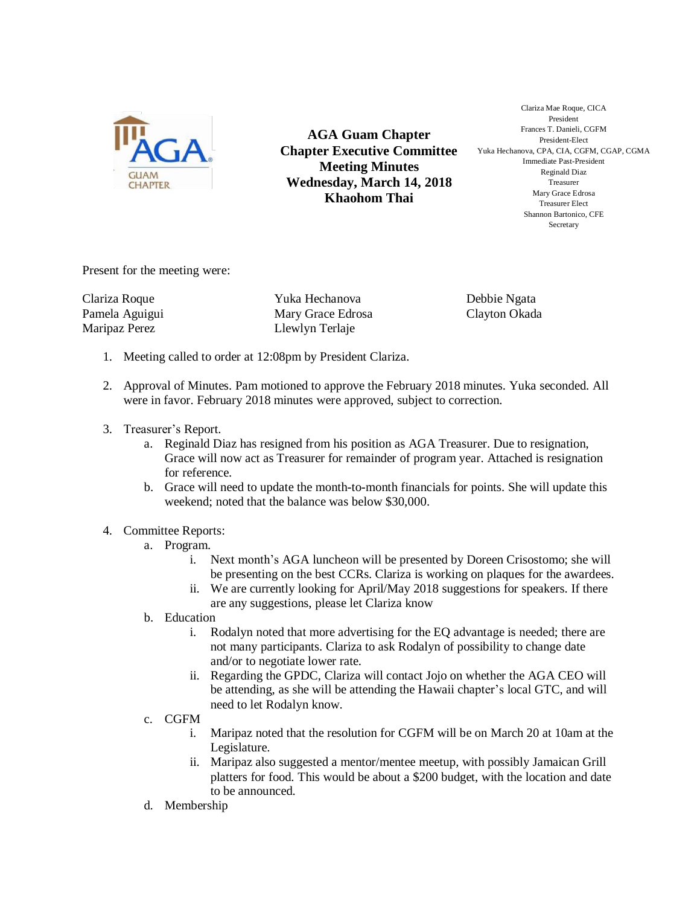

**AGA Guam Chapter Chapter Executive Committee Meeting Minutes Wednesday, March 14, 2018 Khaohom Thai**

Clariza Mae Roque, CICA President Frances T. Danieli, CGFM President-Elect Yuka Hechanova, CPA, CIA, CGFM, CGAP, CGMA Immediate Past-President Reginald Diaz Treasurer Mary Grace Edrosa Treasurer Elect Shannon Bartonico, CFE Secretary

Present for the meeting were:

Clariza Roque Pamela Aguigui Maripaz Perez

Yuka Hechanova Mary Grace Edrosa Llewlyn Terlaje

Debbie Ngata Clayton Okada

- 1. Meeting called to order at 12:08pm by President Clariza.
- 2. Approval of Minutes. Pam motioned to approve the February 2018 minutes. Yuka seconded. All were in favor. February 2018 minutes were approved, subject to correction.
- 3. Treasurer's Report.
	- a. Reginald Diaz has resigned from his position as AGA Treasurer. Due to resignation, Grace will now act as Treasurer for remainder of program year. Attached is resignation for reference.
	- b. Grace will need to update the month-to-month financials for points. She will update this weekend; noted that the balance was below \$30,000.
- 4. Committee Reports:
	- a. Program.
		- i. Next month's AGA luncheon will be presented by Doreen Crisostomo; she will be presenting on the best CCRs. Clariza is working on plaques for the awardees.
		- ii. We are currently looking for April/May 2018 suggestions for speakers. If there are any suggestions, please let Clariza know
	- b. Education
		- i. Rodalyn noted that more advertising for the EQ advantage is needed; there are not many participants. Clariza to ask Rodalyn of possibility to change date and/or to negotiate lower rate.
		- ii. Regarding the GPDC, Clariza will contact Jojo on whether the AGA CEO will be attending, as she will be attending the Hawaii chapter's local GTC, and will need to let Rodalyn know.
	- c. CGFM
		- i. Maripaz noted that the resolution for CGFM will be on March 20 at 10am at the Legislature.
		- ii. Maripaz also suggested a mentor/mentee meetup, with possibly Jamaican Grill platters for food. This would be about a \$200 budget, with the location and date to be announced.
	- d. Membership